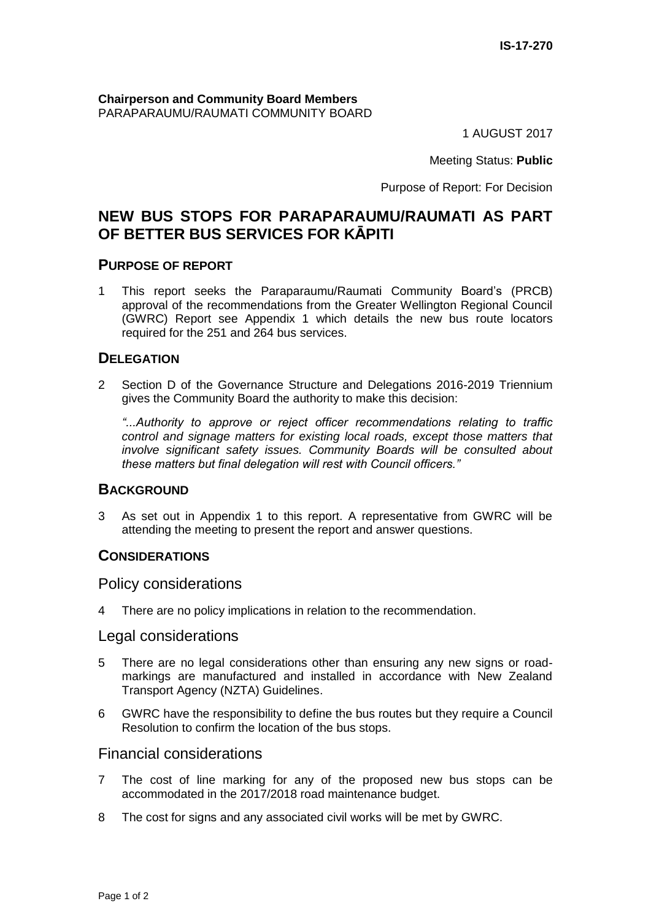**Chairperson and Community Board Members** PARAPARAUMU/RAUMATI COMMUNITY BOARD

1 AUGUST 2017

Meeting Status: **Public**

Purpose of Report: For Decision

# **NEW BUS STOPS FOR PARAPARAUMU/RAUMATI AS PART OF BETTER BUS SERVICES FOR KĀPITI**

#### **PURPOSE OF REPORT**

1 This report seeks the Paraparaumu/Raumati Community Board's (PRCB) approval of the recommendations from the Greater Wellington Regional Council (GWRC) Report see Appendix 1 which details the new bus route locators required for the 251 and 264 bus services.

#### **DELEGATION**

2 Section D of the Governance Structure and Delegations 2016-2019 Triennium gives the Community Board the authority to make this decision:

*"...Authority to approve or reject officer recommendations relating to traffic control and signage matters for existing local roads, except those matters that involve significant safety issues. Community Boards will be consulted about these matters but final delegation will rest with Council officers."*

#### **BACKGROUND**

3 As set out in Appendix 1 to this report. A representative from GWRC will be attending the meeting to present the report and answer questions.

#### **CONSIDERATIONS**

Policy considerations

4 There are no policy implications in relation to the recommendation.

#### Legal considerations

- 5 There are no legal considerations other than ensuring any new signs or roadmarkings are manufactured and installed in accordance with New Zealand Transport Agency (NZTA) Guidelines.
- 6 GWRC have the responsibility to define the bus routes but they require a Council Resolution to confirm the location of the bus stops.

#### Financial considerations

- 7 The cost of line marking for any of the proposed new bus stops can be accommodated in the 2017/2018 road maintenance budget.
- 8 The cost for signs and any associated civil works will be met by GWRC.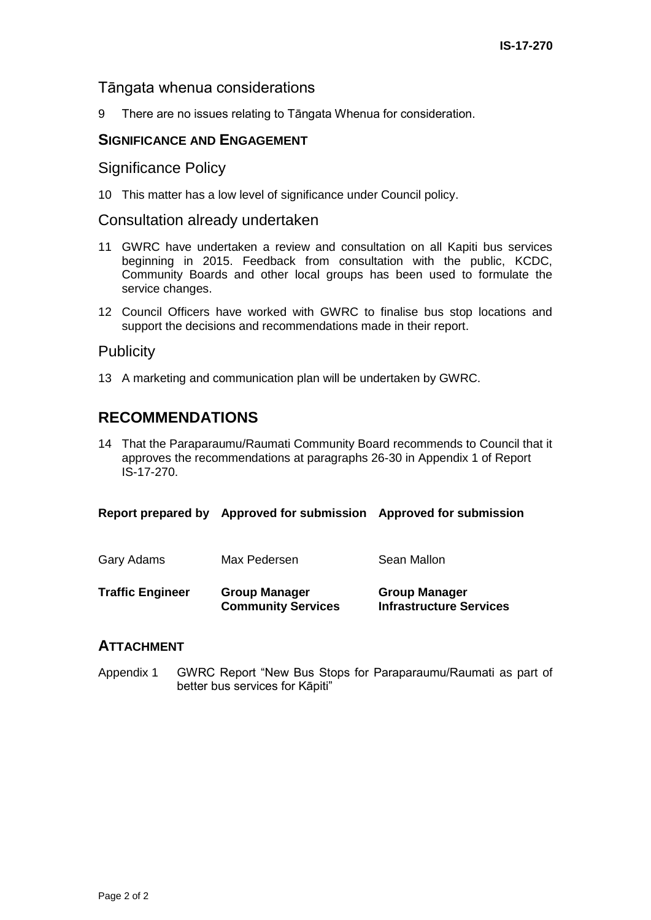## Tāngata whenua considerations

9 There are no issues relating to Tāngata Whenua for consideration.

## **SIGNIFICANCE AND ENGAGEMENT**

#### Significance Policy

10 This matter has a low level of significance under Council policy.

#### Consultation already undertaken

- 11 GWRC have undertaken a review and consultation on all Kapiti bus services beginning in 2015. Feedback from consultation with the public, KCDC, Community Boards and other local groups has been used to formulate the service changes.
- 12 Council Officers have worked with GWRC to finalise bus stop locations and support the decisions and recommendations made in their report.

## **Publicity**

13 A marketing and communication plan will be undertaken by GWRC.

# **RECOMMENDATIONS**

14 That the Paraparaumu/Raumati Community Board recommends to Council that it approves the recommendations at paragraphs 26-30 in Appendix 1 of Report IS-17-270.

| Gary Adams              | Max Pedersen                                      | Sean Mallon                                            |
|-------------------------|---------------------------------------------------|--------------------------------------------------------|
| <b>Traffic Engineer</b> | <b>Group Manager</b><br><b>Community Services</b> | <b>Group Manager</b><br><b>Infrastructure Services</b> |

## **ATTACHMENT**

Appendix 1 GWRC Report "New Bus Stops for Paraparaumu/Raumati as part of better bus services for Kāpiti"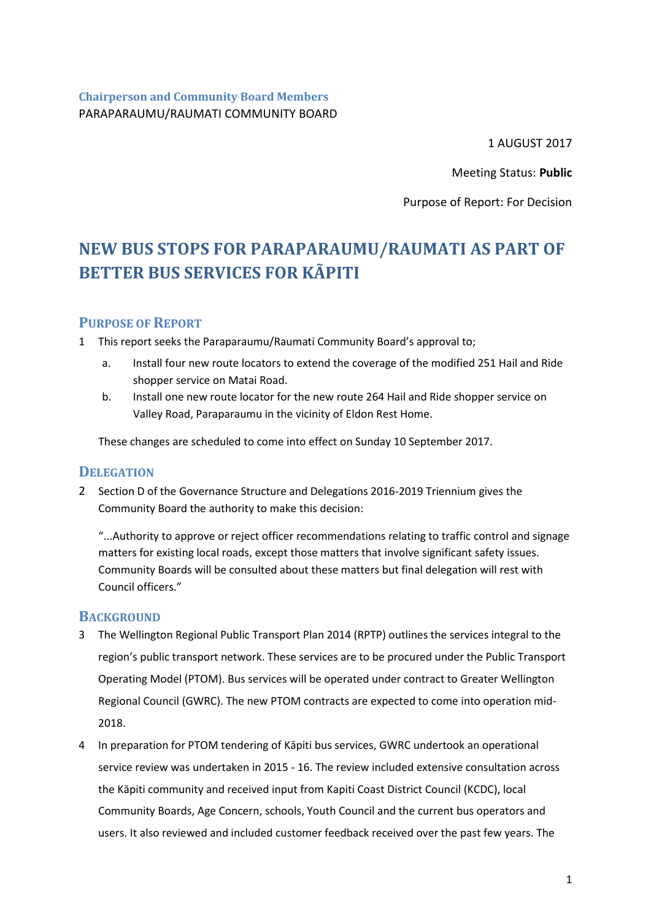**Chairperson and Community Board Members** PARAPARAUMU/RAUMATI COMMUNITY BOARD

1 AUGUST 2017

Meeting Status: **Public**

Purpose of Report: For Decision

# **NEW BUS STOPS FOR PARAPARAUMU/RAUMATI AS PART OF BETTER BUS SERVICES FOR KÃPITI**

## **PURPOSE OF REPORT**

1 This report seeks the Paraparaumu/Raumati Community Board's approval to;

- a. Install four new route locators to extend the coverage of the modified 251 Hail and Ride shopper service on Matai Road.
- b. Install one new route locator for the new route 264 Hail and Ride shopper service on Valley Road, Paraparaumu in the vicinity of Eldon Rest Home.

These changes are scheduled to come into effect on Sunday 10 September 2017.

## **DELEGATION**

2 Section D of the Governance Structure and Delegations 2016-2019 Triennium gives the Community Board the authority to make this decision:

"...Authority to approve or reject officer recommendations relating to traffic control and signage matters for existing local roads, except those matters that involve significant safety issues. Community Boards will be consulted about these matters but final delegation will rest with Council officers."

#### **BACKGROUND**

- 3 The Wellington Regional Public Transport Plan 2014 (RPTP) outlines the services integral to the region's public transport network. These services are to be procured under the Public Transport Operating Model (PTOM). Bus services will be operated under contract to Greater Wellington Regional Council (GWRC). The new PTOM contracts are expected to come into operation mid-2018.
- 4 In preparation for PTOM tendering of Kāpiti bus services, GWRC undertook an operational service review was undertaken in 2015 - 16. The review included extensive consultation across the Kāpiti community and received input from Kapiti Coast District Council (KCDC), local Community Boards, Age Concern, schools, Youth Council and the current bus operators and users. It also reviewed and included customer feedback received over the past few years. The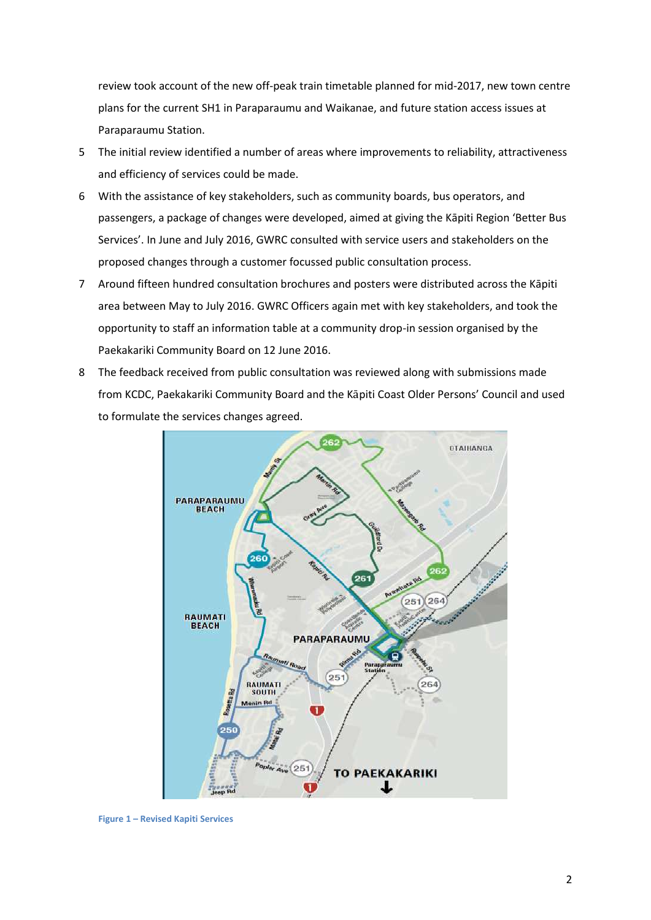review took account of the new off-peak train timetable planned for mid-2017, new town centre plans for the current SH1 in Paraparaumu and Waikanae, and future station access issues at Paraparaumu Station.

- 5 The initial review identified a number of areas where improvements to reliability, attractiveness and efficiency of services could be made.
- 6 With the assistance of key stakeholders, such as community boards, bus operators, and passengers, a package of changes were developed, aimed at giving the Kāpiti Region 'Better Bus Services'. In June and July 2016, GWRC consulted with service users and stakeholders on the proposed changes through a customer focussed public consultation process.
- 7 Around fifteen hundred consultation brochures and posters were distributed across the Kāpiti area between May to July 2016. GWRC Officers again met with key stakeholders, and took the opportunity to staff an information table at a community drop-in session organised by the Paekakariki Community Board on 12 June 2016.
- 8 The feedback received from public consultation was reviewed along with submissions made from KCDC, Paekakariki Community Board and the Kāpiti Coast Older Persons' Council and used to formulate the services changes agreed.



**Figure 1 – Revised Kapiti Services**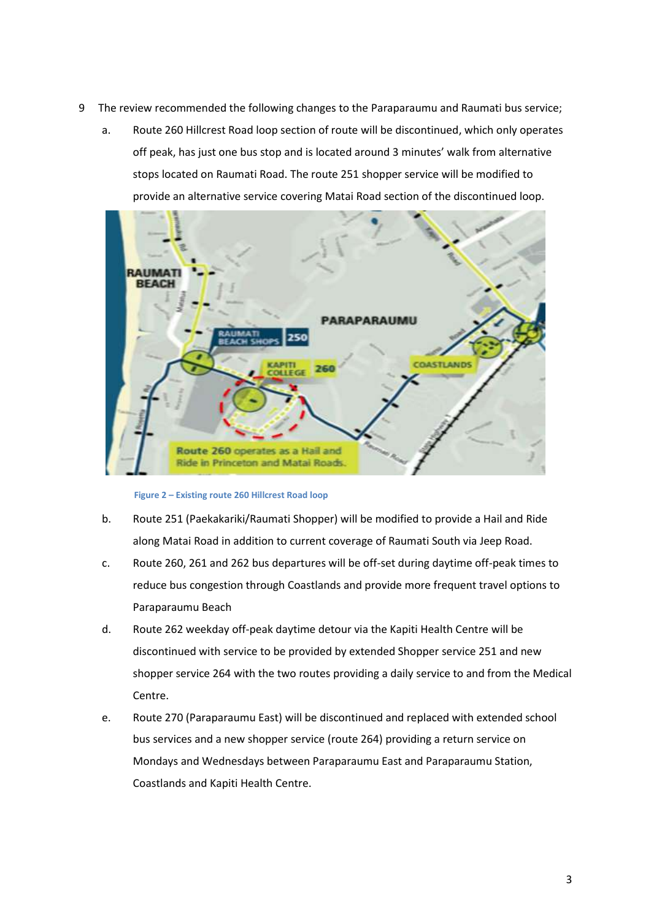- 9 The review recommended the following changes to the Paraparaumu and Raumati bus service;
	- a. Route 260 Hillcrest Road loop section of route will be discontinued, which only operates off peak, has just one bus stop and is located around 3 minutes' walk from alternative stops located on Raumati Road. The route 251 shopper service will be modified to provide an alternative service covering Matai Road section of the discontinued loop.



 **Figure 2 – Existing route 260 Hillcrest Road loop**

- b. Route 251 (Paekakariki/Raumati Shopper) will be modified to provide a Hail and Ride along Matai Road in addition to current coverage of Raumati South via Jeep Road.
- c. Route 260, 261 and 262 bus departures will be off-set during daytime off-peak times to reduce bus congestion through Coastlands and provide more frequent travel options to Paraparaumu Beach
- d. Route 262 weekday off-peak daytime detour via the Kapiti Health Centre will be discontinued with service to be provided by extended Shopper service 251 and new shopper service 264 with the two routes providing a daily service to and from the Medical Centre.
- e. Route 270 (Paraparaumu East) will be discontinued and replaced with extended school bus services and a new shopper service (route 264) providing a return service on Mondays and Wednesdays between Paraparaumu East and Paraparaumu Station, Coastlands and Kapiti Health Centre.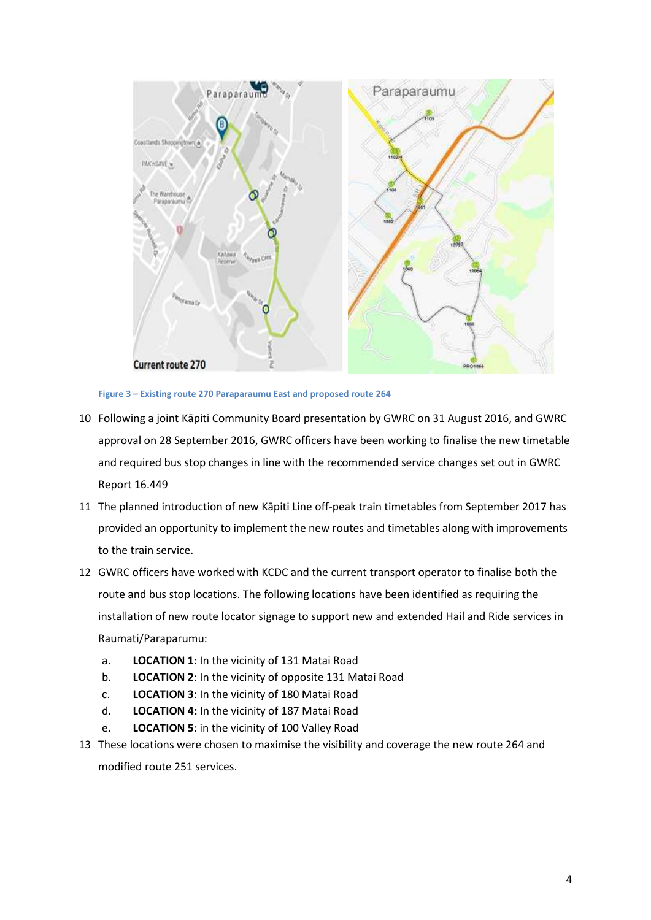



- 10 Following a joint Kāpiti Community Board presentation by GWRC on 31 August 2016, and GWRC approval on 28 September 2016, GWRC officers have been working to finalise the new timetable and required bus stop changes in line with the recommended service changes set out in GWRC Report 16.449
- 11 The planned introduction of new Kāpiti Line off-peak train timetables from September 2017 has provided an opportunity to implement the new routes and timetables along with improvements to the train service.
- 12 GWRC officers have worked with KCDC and the current transport operator to finalise both the route and bus stop locations. The following locations have been identified as requiring the installation of new route locator signage to support new and extended Hail and Ride services in Raumati/Paraparumu:
	- a. **LOCATION 1**: In the vicinity of 131 Matai Road
	- b. **LOCATION 2**: In the vicinity of opposite 131 Matai Road
	- c. **LOCATION 3**: In the vicinity of 180 Matai Road
	- d. **LOCATION 4:** In the vicinity of 187 Matai Road
	- e. **LOCATION 5**: in the vicinity of 100 Valley Road
- 13 These locations were chosen to maximise the visibility and coverage the new route 264 and modified route 251 services.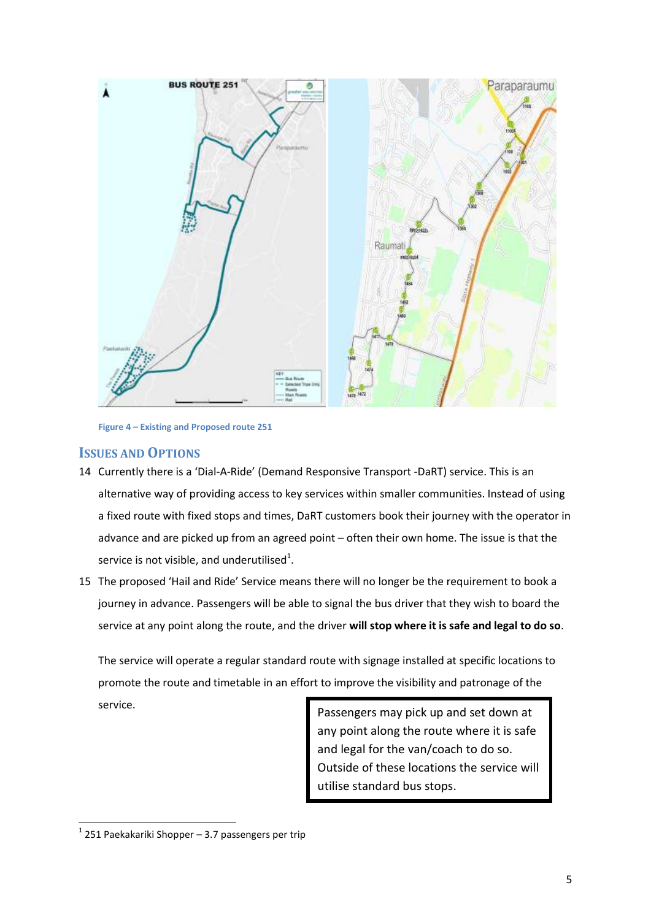

**Figure 4 – Existing and Proposed route 251** 

#### **ISSUES AND OPTIONS**

- 14 Currently there is a 'Dial-A-Ride' (Demand Responsive Transport -DaRT) service. This is an alternative way of providing access to key services within smaller communities. Instead of using a fixed route with fixed stops and times, DaRT customers book their journey with the operator in advance and are picked up from an agreed point – often their own home. The issue is that the service is not visible, and underutilised<sup>1</sup>.
- 15 The proposed 'Hail and Ride' Service means there will no longer be the requirement to book a journey in advance. Passengers will be able to signal the bus driver that they wish to board the service at any point along the route, and the driver **will stop where it is safe and legal to do so**.

The service will operate a regular standard route with signage installed at specific locations to promote the route and timetable in an effort to improve the visibility and patronage of the service.

Passengers may pick up and set down at any point along the route where it is safe and legal for the van/coach to do so. Outside of these locations the service will utilise standard bus stops.

**.** 

 $1$  251 Paekakariki Shopper – 3.7 passengers per trip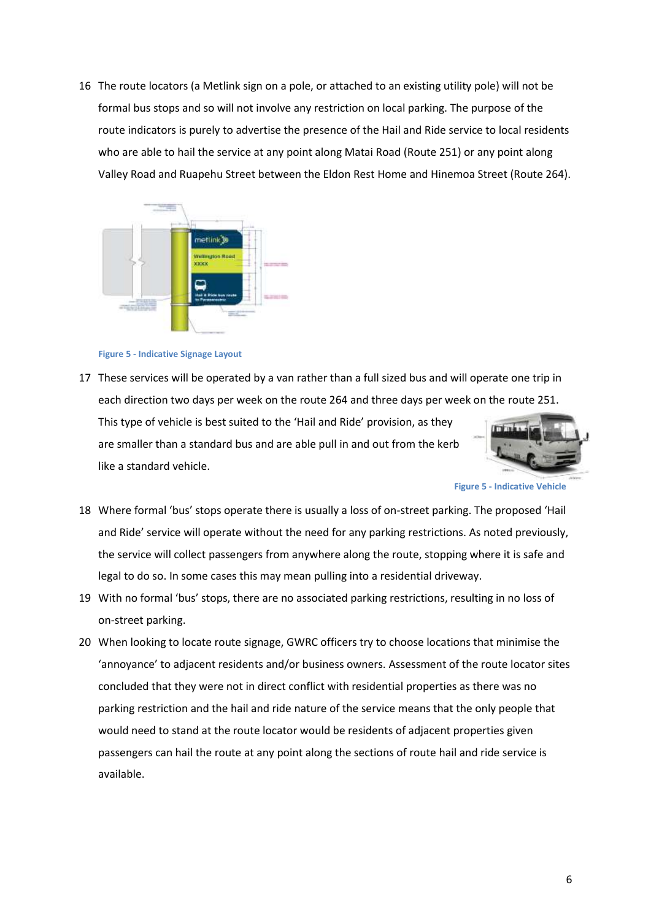16 The route locators (a Metlink sign on a pole, or attached to an existing utility pole) will not be formal bus stops and so will not involve any restriction on local parking. The purpose of the route indicators is purely to advertise the presence of the Hail and Ride service to local residents who are able to hail the service at any point along Matai Road (Route 251) or any point along Valley Road and Ruapehu Street between the Eldon Rest Home and Hinemoa Street (Route 264).





17 These services will be operated by a van rather than a full sized bus and will operate one trip in each direction two days per week on the route 264 and three days per week on the route 251. This type of vehicle is best suited to the 'Hail and Ride' provision, as they are smaller than a standard bus and are able pull in and out from the kerb

like a standard vehicle.

**Figure 5 - Indicative Vehicle**

- 18 Where formal 'bus' stops operate there is usually a loss of on-street parking. The proposed 'Hail and Ride' service will operate without the need for any parking restrictions. As noted previously, the service will collect passengers from anywhere along the route, stopping where it is safe and legal to do so. In some cases this may mean pulling into a residential driveway.
- 19 With no formal 'bus' stops, there are no associated parking restrictions, resulting in no loss of on-street parking.
- 20 When looking to locate route signage, GWRC officers try to choose locations that minimise the 'annoyance' to adjacent residents and/or business owners. Assessment of the route locator sites concluded that they were not in direct conflict with residential properties as there was no parking restriction and the hail and ride nature of the service means that the only people that would need to stand at the route locator would be residents of adjacent properties given passengers can hail the route at any point along the sections of route hail and ride service is available.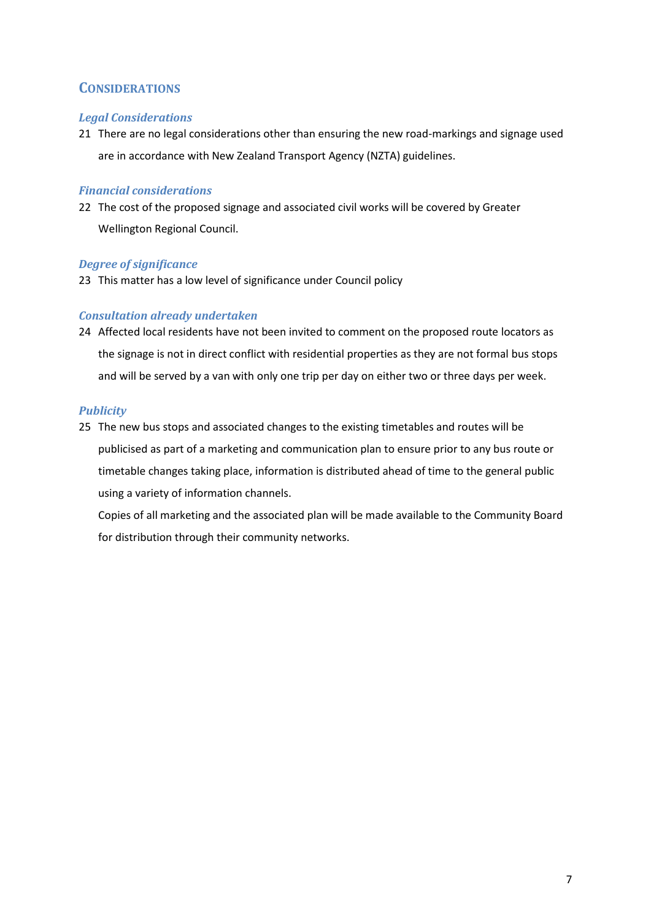## **CONSIDERATIONS**

#### *Legal Considerations*

21 There are no legal considerations other than ensuring the new road-markings and signage used are in accordance with New Zealand Transport Agency (NZTA) guidelines.

#### *Financial considerations*

22 The cost of the proposed signage and associated civil works will be covered by Greater Wellington Regional Council.

#### *Degree of significance*

23 This matter has a low level of significance under Council policy

#### *Consultation already undertaken*

24 Affected local residents have not been invited to comment on the proposed route locators as the signage is not in direct conflict with residential properties as they are not formal bus stops and will be served by a van with only one trip per day on either two or three days per week.

#### *Publicity*

25 The new bus stops and associated changes to the existing timetables and routes will be publicised as part of a marketing and communication plan to ensure prior to any bus route or timetable changes taking place, information is distributed ahead of time to the general public using a variety of information channels.

Copies of all marketing and the associated plan will be made available to the Community Board for distribution through their community networks.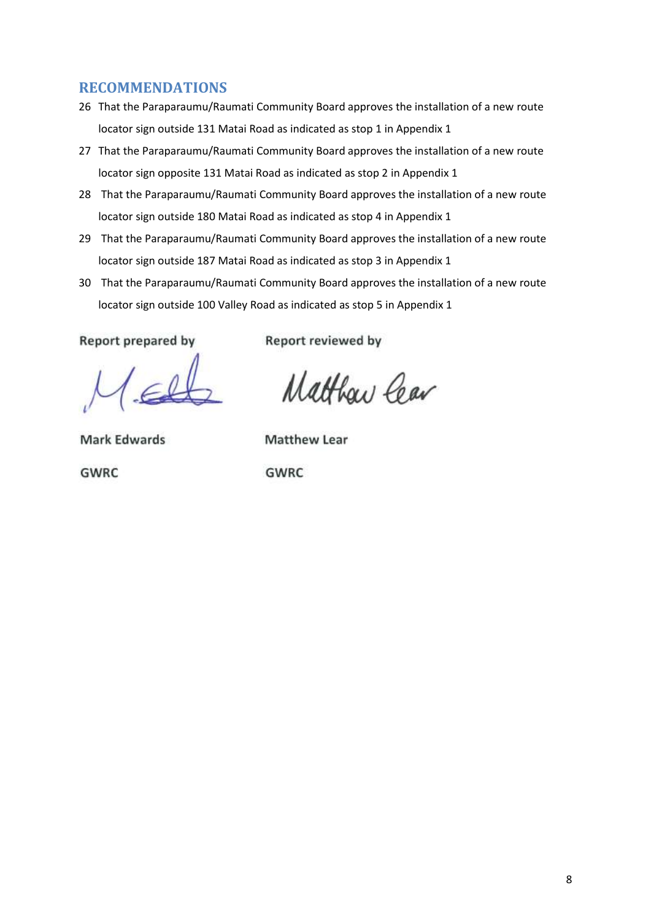## **RECOMMENDATIONS**

- 26 That the Paraparaumu/Raumati Community Board approves the installation of a new route locator sign outside 131 Matai Road as indicated as stop 1 in Appendix 1
- 27 That the Paraparaumu/Raumati Community Board approves the installation of a new route locator sign opposite 131 Matai Road as indicated as stop 2 in Appendix 1
- 28 That the Paraparaumu/Raumati Community Board approves the installation of a new route locator sign outside 180 Matai Road as indicated as stop 4 in Appendix 1
- 29 That the Paraparaumu/Raumati Community Board approves the installation of a new route locator sign outside 187 Matai Road as indicated as stop 3 in Appendix 1
- 30 That the Paraparaumu/Raumati Community Board approves the installation of a new route locator sign outside 100 Valley Road as indicated as stop 5 in Appendix 1

Report prepared by

Report reviewed by

Matthaw Cear

**Mark Edwards** 

**Matthew Lear** 

**GWRC** 

**GWRC**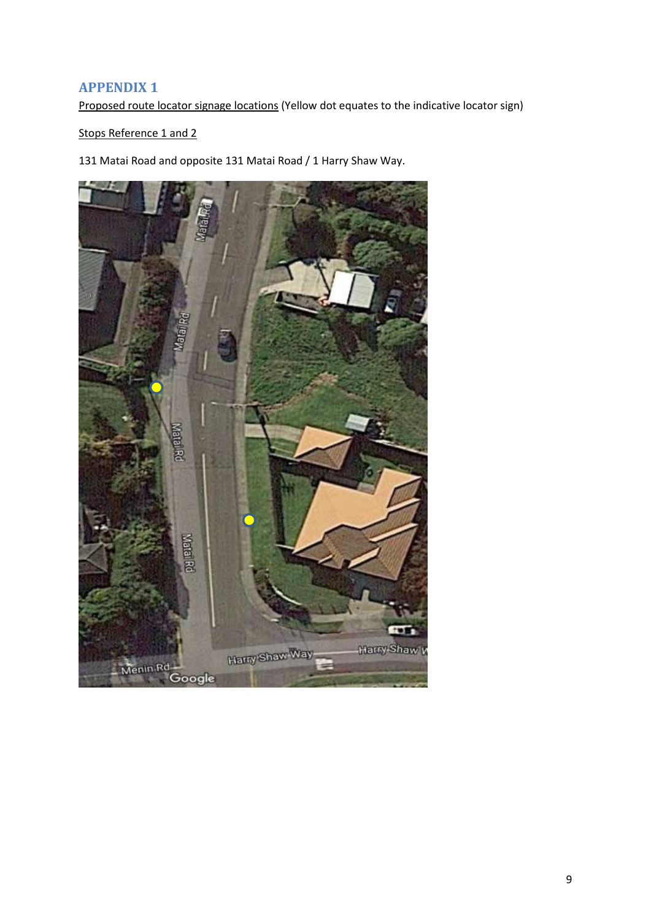## **APPENDIX 1**

Proposed route locator signage locations (Yellow dot equates to the indicative locator sign)

Stops Reference 1 and 2

131 Matai Road and opposite 131 Matai Road / 1 Harry Shaw Way.

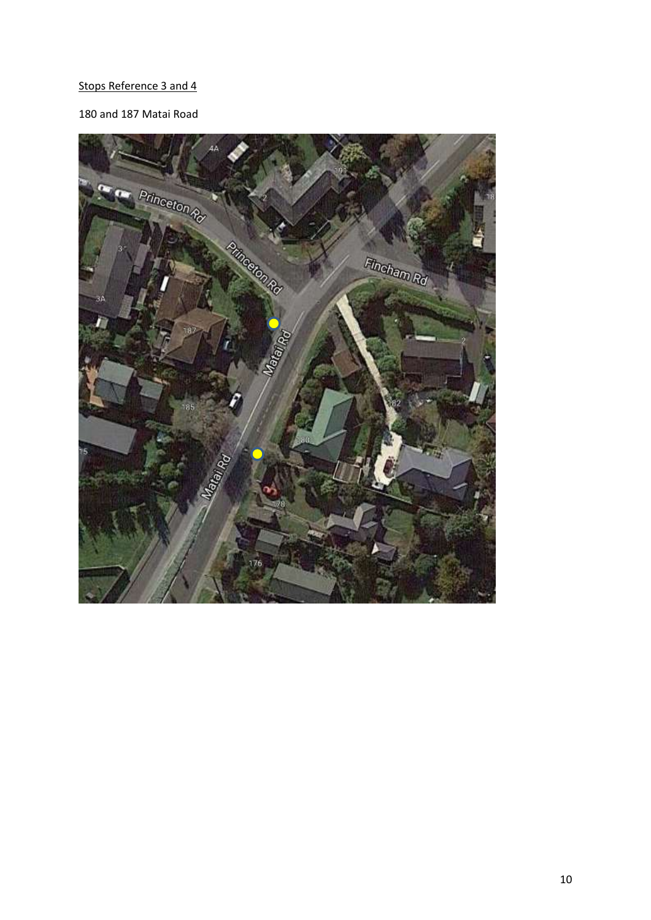## Stops Reference 3 and 4

## 180 and 187 Matai Road